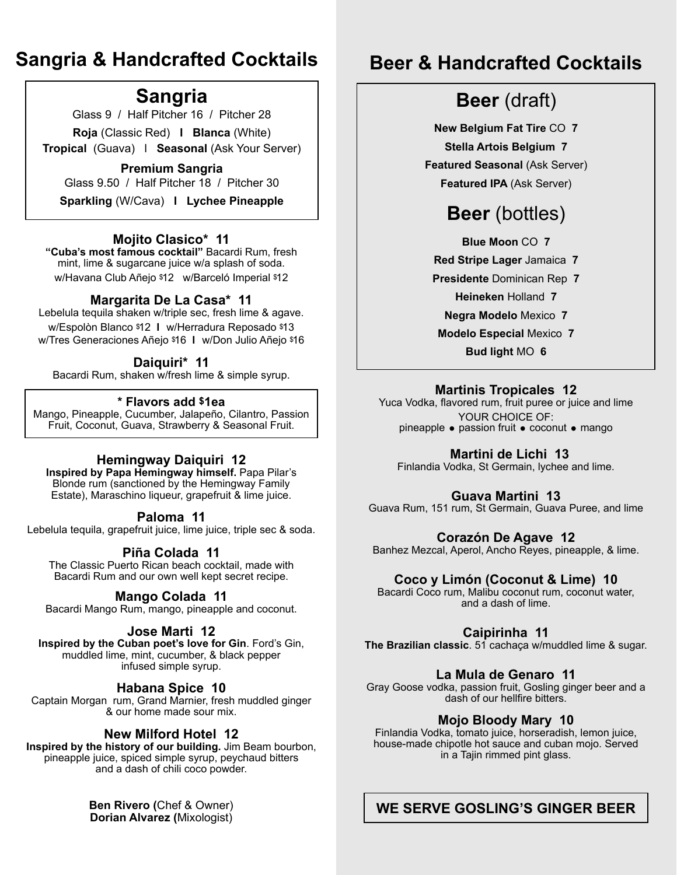### **Sangria & Handcrafted Cocktails**

### **Sangria**

Glass 9 / Half Pitcher 16 / Pitcher 28

**Roja** (Classic Red) **l Blanca** (White)

**Tropical** (Guava) l **Seasonal** (Ask Your Server)

#### **Premium Sangria**

Glass 9.50 / Half Pitcher 18 / Pitcher 30

**Sparkling** (W/Cava) **l Lychee Pineapple**

#### **Mojito Clasico\* 11**

**"Cuba's most famous cocktail"** Bacardi Rum, fresh mint, lime & sugarcane juice w/a splash of soda. w/Havana Club Añejo \$12 w/Barceló Imperial \$12

#### **Margarita De La Casa\* 11**

Lebelula tequila shaken w/triple sec, fresh lime & agave. w/Espolòn Blanco \$12 **l** w/Herradura Reposado \$13 w/Tres Generaciones Añejo \$16 **l** w/Don Julio Añejo \$16

#### **Daiquiri\* 11**

Bacardi Rum, shaken w/fresh lime & simple syrup.

#### **\* Flavors add \$1ea**

Mango, Pineapple, Cucumber, Jalapeño, Cilantro, Passion Fruit, Coconut, Guava, Strawberry & Seasonal Fruit.

#### **Hemingway Daiquiri 12**

**Inspired by Papa Hemingway himself.** Papa Pilar's Blonde rum (sanctioned by the Hemingway Family Estate), Maraschino liqueur, grapefruit & lime juice.

#### **Paloma 11**

Lebelula tequila, grapefruit juice, lime juice, triple sec & soda.

#### **Piña Colada 11**

The Classic Puerto Rican beach cocktail, made with Bacardi Rum and our own well kept secret recipe.

#### **Mango Colada 11**

Bacardi Mango Rum, mango, pineapple and coconut.

#### **Jose Marti 12**

**Inspired by the Cuban poet's love for Gin**. Ford's Gin, muddled lime, mint, cucumber, & black pepper infused simple syrup.

#### **Habana Spice 10**

Captain Morgan rum, Grand Marnier, fresh muddled ginger & our home made sour mix.

#### **New Milford Hotel 12**

**Inspired by the history of our building.** Jim Beam bourbon, pineapple juice, spiced simple syrup, peychaud bitters and a dash of chili coco powder.

> **Ben Rivero (**Chef & Owner) **Dorian Alvarez (**Mixologist)

### **Beer & Handcrafted Cocktails**

### **Beer** (draft)

**New Belgium Fat Tire** CO **7 Stella Artois Belgium 7 Featured Seasonal (Ask Server) Featured IPA** (Ask Server)

### **Beer** (bottles)

**Blue Moon** CO **7 Red Stripe Lager** Jamaica **7 Presidente** Dominican Rep **7 Heineken** Holland **7 Negra Modelo** Mexico **7 Modelo Especial** Mexico **7 Bud light** MO **6**

#### **Martinis Tropicales 12**

Yuca Vodka, flavored rum, fruit puree or juice and lime YOUR CHOICE OF: pineapple  $\bullet$  passion fruit  $\bullet$  coconut  $\bullet$  mango

#### **Martini de Lichi 13**

Finlandia Vodka, St Germain, lychee and lime.

#### **Guava Martini 13**

Guava Rum, 151 rum, St Germain, Guava Puree, and lime

#### **Corazón De Agave 12**

Banhez Mezcal, Aperol, Ancho Reyes, pineapple, & lime.

#### **Coco y Limón (Coconut & Lime) 10**

Bacardi Coco rum, Malibu coconut rum, coconut water, and a dash of lime.

**Caipirinha 11**

**The Brazilian classic**. 51 cachaça w/muddled lime & sugar.

#### **La Mula de Genaro 11**

Gray Goose vodka, passion fruit, Gosling ginger beer and a dash of our hellfire bitters.

#### **Mojo Bloody Mary 10**

Finlandia Vodka, tomato juice, horseradish, lemon juice, house-made chipotle hot sauce and cuban mojo. Served in a Tajin rimmed pint glass.

#### **WE SERVE GOSLING'S GINGER BEER**